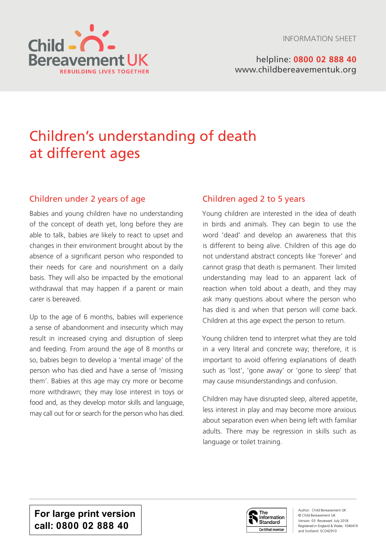



helpline: **0800 02 888 40** [www.childbereavementuk.org](http://www.childbereavementuk.org)

# Children's understanding of death at different ages

## Children under 2 years of age

Babies and young children have no understanding of the concept of death yet, long before they are able to talk, babies are likely to react to upset and changes in their environment brought about by the absence of a significant person who responded to their needs for care and nourishment on a daily basis. They will also be impacted by the emotional withdrawal that may happen if a parent or main carer is bereaved.

Up to the age of 6 months, babies will experience a sense of abandonment and insecurity which may result in increased crying and disruption of sleep and feeding. From around the age of 8 months or so, babies begin to develop a 'mental image' of the person who has died and have a sense of 'missing them'. Babies at this age may cry more or become more withdrawn; they may lose interest in toys or food and, as they develop motor skills and language, may call out for or search for the person who has died.

## Children aged 2 to 5 years

Young children are interested in the idea of death in birds and animals. They can begin to use the word 'dead' and develop an awareness that this is different to being alive. Children of this age do not understand abstract concepts like 'forever' and cannot grasp that death is permanent. Their limited understanding may lead to an apparent lack of reaction when told about a death, and they may ask many questions about where the person who has died is and when that person will come back. Children at this age expect the person to return.

Young children tend to interpret what they are told in a very literal and concrete way; therefore, it is important to avoid offering explanations of death such as 'lost', 'gone away' or 'gone to sleep' that may cause misunderstandings and confusion.

Children may have disrupted sleep, altered appetite, less interest in play and may become more anxious about separation even when being left with familiar adults. There may be regression in skills such as language or toilet training.

**For large print version call: 0800 02 888 40**



Author: Child Bereavement UK © Child Bereavement UK Version: 03 Reviewed: July 2018 Registered in England & Wales: 1040419 and Scotland: SCO42910